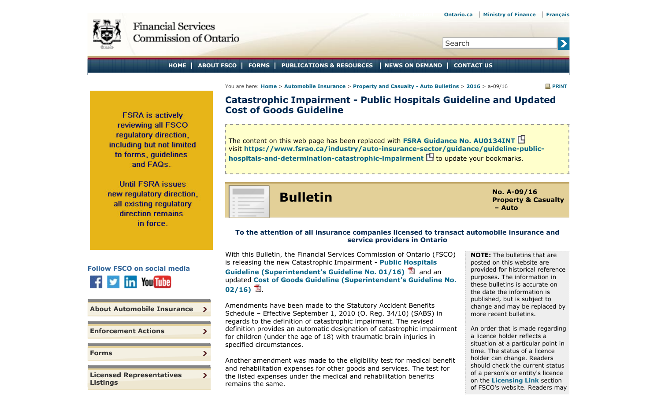Search

**HOME ABOUT FSCO FORMS PUBLICATIONS & RESOURCES NEWS ON DEMAND CONTACT US**

You are here: **Home** > **Automobile Insurance** > **Property and Casualty - Auto Bulletins** > **2016** > a-09/16 **PRINT**

 $\mathbf{\Sigma}$ 

**Catastrophic Impairment - Public Hospitals Guideline and Updated Cost of Goods Guideline**

The content on this web page has been replaced with **FSRA Guidance No. AU0134INT** visit **https://www.fsrao.ca/industry/auto-insurance-sector/guidance/guideline-publichospitals-and-determination-catastrophic-impairment**  $\mathbf \Xi$  **to update your bookmarks.** 

**Bulletin No. A-09/16** 

**To the attention of all insurance companies licensed to transact automobile insurance and service providers in Ontario**

regulatory direction. including but not limited to forms, quidelines and FAQs. **Until FSRA issues** 

<span id="page-0-0"></span>**FSRA** is actively reviewing all FSCO

new regulatory direction, all existing regulatory direction remains in force.



**[Licensed Representatives](#page-0-0) [Listings](#page-0-0)**

 $\mathbf{r}$ 

Σ

**[Forms](#page-0-0)**

With this Bulletin, the Financial Services Commission of Ontario (FSCO) is releasing the new Catastrophic Impairment - **Public Hospitals Guideline (Superintendent's Guideline No. 01/16)** and an updated **Cost of Goods Guideline (Superintendent's Guideline No.**  $02/16)$   $\Box$ .

Amendments have been made to the Statutory Accident Benefits Schedule – Effective September 1, 2010 (O. Reg. 34/10) (SABS) in regards to the definition of catastrophic impairment. The revised definition provides an automatic designation of catastrophic impairment for children (under the age of 18) with traumatic brain injuries in specified circumstances.

Another amendment was made to the eligibility test for medical benefit and rehabilitation expenses for other goods and services. The test for the listed expenses under the medical and rehabilitation benefits remains the same.

**NOTE:** The bulletins that are posted on this website are provided for historical reference purposes. The information in these bulletins is accurate on the date the information is published, but is subject to change and may be replaced by more recent bulletins.

**Property & Casualty**

**– Auto**

An order that is made regarding a licence holder reflects a situation at a particular point in time. The status of a licence holder can change. Readers should check the current status of a person's or entity's licence on the **Licensing Link** section of FSCO's website. Readers may